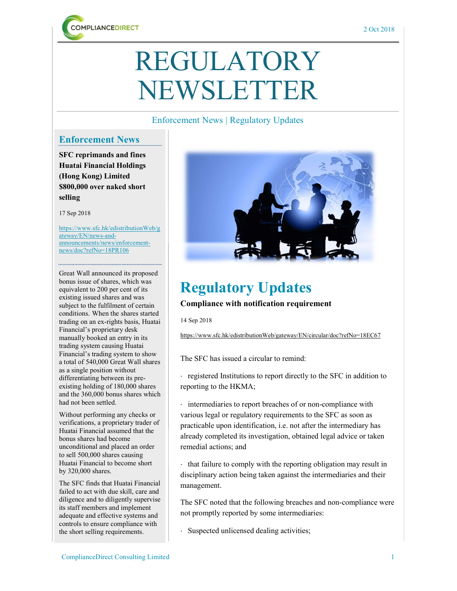

# REGULATORY NEWSLETTER

### Enforcement News | Regulatory Updates

### Enforcement News

SFC reprimands and fines Huatai Financial Holdings (Hong Kong) Limited \$800,000 over naked short selling

17 Sep 2018

https://www.sfc.hk/edistributionWeb/g ateway/EN/news-andannouncements/news/enforcementnews/doc?refNo=18PR106

Great Wall announced its proposed bonus issue of shares, which was equivalent to 200 per cent of its existing issued shares and was subject to the fulfilment of certain conditions. When the shares started trading on an ex-rights basis, Huatai Financial's proprietary desk manually booked an entry in its trading system causing Huatai Financial's trading system to show a total of 540,000 Great Wall shares as a single position without differentiating between its preexisting holding of 180,000 shares and the 360,000 bonus shares which had not been settled.

Without performing any checks or verifications, a proprietary trader of Huatai Financial assumed that the bonus shares had become unconditional and placed an order to sell 500,000 shares causing Huatai Financial to become short by 320,000 shares.

The SFC finds that Huatai Financial failed to act with due skill, care and diligence and to diligently supervise its staff members and implement adequate and effective systems and controls to ensure compliance with the short selling requirements.



## Regulatory Updates

#### Compliance with notification requirement

14 Sep 2018

https://www.sfc.hk/edistributionWeb/gateway/EN/circular/doc?refNo=18EC67

The SFC has issued a circular to remind:

 registered Institutions to report directly to the SFC in addition to reporting to the HKMA;

 intermediaries to report breaches of or non-compliance with various legal or regulatory requirements to the SFC as soon as practicable upon identification, i.e. not after the intermediary has already completed its investigation, obtained legal advice or taken remedial actions; and

 $\cdot$  that failure to comply with the reporting obligation may result in disciplinary action being taken against the intermediaries and their management.

The SFC noted that the following breaches and non-compliance were not promptly reported by some intermediaries:

Suspected unlicensed dealing activities;